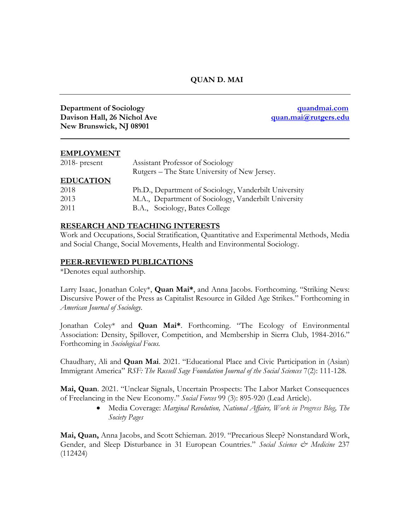## **QUAN D. MAI**

**Department of Sociology [quandmai.com](http://quandmai.com/) Davison Hall, 26 Nichol Ave**  *[quan.mai@rutgers.edu](mailto:quan.mai@rutgers.edu)* **New Brunswick, NJ 08901**

#### **EMPLOYMENT**

| 2018- present    | Assistant Professor of Sociology                      |
|------------------|-------------------------------------------------------|
|                  | Rutgers – The State University of New Jersey.         |
| <b>EDUCATION</b> |                                                       |
| 2018             | Ph.D., Department of Sociology, Vanderbilt University |
| 2013             | M.A., Department of Sociology, Vanderbilt University  |
| 2011             | B.A., Sociology, Bates College                        |

#### **RESEARCH AND TEACHING INTERESTS**

Work and Occupations, Social Stratification, Quantitative and Experimental Methods, Media and Social Change, Social Movements, Health and Environmental Sociology.

#### **PEER-REVIEWED PUBLICATIONS**

\*Denotes equal authorship.

Larry Isaac, Jonathan Coley\*, **Quan Mai\***, and Anna Jacobs. Forthcoming. "Striking News: Discursive Power of the Press as Capitalist Resource in Gilded Age Strikes." Forthcoming in *American Journal of Sociology.* 

Jonathan Coley\* and **Quan Mai\***. Forthcoming. "The Ecology of Environmental Association: Density, Spillover, Competition, and Membership in Sierra Club, 1984-2016." Forthcoming in *Sociological Focus.* 

Chaudhary, Ali and **Quan Mai**. 2021. "Educational Place and Civic Participation in (Asian) Immigrant America" *RSF: The Russell Sage Foundation Journal of the Social Sciences* 7(2): 111-128*.* 

**Mai, Quan**. 2021. "Unclear Signals, Uncertain Prospects: The Labor Market Consequences of Freelancing in the New Economy." *Social Forces* 99 (3): 895-920 (Lead Article).

> • Media Coverage: *Marginal Revolution, National Affairs, Work in Progress Blog, The Society Pages*

**Mai, Quan,** Anna Jacobs, and Scott Schieman. 2019. "Precarious Sleep? Nonstandard Work, Gender, and Sleep Disturbance in 31 European Countries." *Social Science & Medicine* 237 (112424)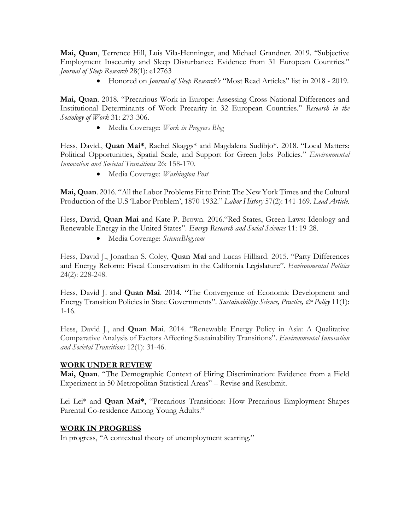**Mai, Quan**, Terrence Hill, Luis Vila-Henninger, and Michael Grandner. 2019. "Subjective Employment Insecurity and Sleep Disturbance: Evidence from 31 European Countries." *Journal of Sleep Research* 28(1): e12763

• Honored on *Journal of Sleep Research's* "Most Read Articles" list in 2018 - 2019.

**Mai, Quan**. 2018. "Precarious Work in Europe: Assessing Cross-National Differences and Institutional Determinants of Work Precarity in 32 European Countries." *Research in the Sociology of Work* 31: 273-306.

• Media Coverage: *Work in Progress Blog*

Hess, David., **Quan Mai\***, Rachel Skaggs\* and Magdalena Sudibjo\*. 2018. "Local Matters: Political Opportunities, Spatial Scale, and Support for Green Jobs Policies." *Environmental Innovation and Societal Transitions* 26: 158-170.

• Media Coverage: *Washington Post*

**Mai, Quan**. 2016. "All the Labor Problems Fit to Print: The New York Times and the Cultural Production of the U.S 'Labor Problem', 1870-1932." *Labor History* 57(2): 141-169*. Lead Article.* 

Hess, David, **Quan Mai** and Kate P. Brown. 2016."Red States, Green Laws: Ideology and Renewable Energy in the United States". *Energy Research and Social Sciences* 11: 19-28.

• Media Coverage: *ScienceBlog.com*

Hess, David J., Jonathan S. Coley, **Quan Mai** and Lucas Hilliard. 2015. "Party Differences and Energy Reform: Fiscal Conservatism in the California Legislature". *Environmental Politics*  24(2): 228-248.

Hess, David J. and **Quan Mai**. 2014. "The Convergence of Economic Development and Energy Transition Policies in State Governments". *Sustainability: Science, Practice, & Policy* 11(1): 1-16.

Hess, David J., and **Quan Mai**. 2014. "Renewable Energy Policy in Asia: A Qualitative Comparative Analysis of Factors Affecting Sustainability Transitions". *Environmental Innovation and Societal Transitions* 12(1): 31-46.

# **WORK UNDER REVIEW**

**Mai, Quan**. "The Demographic Context of Hiring Discrimination: Evidence from a Field Experiment in 50 Metropolitan Statistical Areas" – Revise and Resubmit.

Lei Lei\* and **Quan Mai\***, "Precarious Transitions: How Precarious Employment Shapes Parental Co-residence Among Young Adults."

### **WORK IN PROGRESS**

In progress, "A contextual theory of unemployment scarring."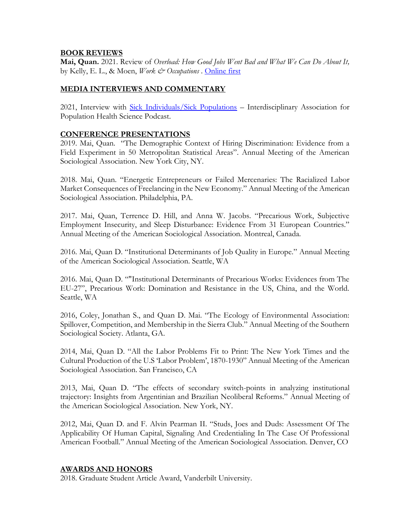#### **BOOK REVIEWS**

**Mai, Quan.** 2021. Review of *Overload: How Good Jobs Went Bad and What We Can Do About It,*  by Kelly, E. L., & Moen, *Work & Occupations* . [Online first](https://nam02.safelinks.protection.outlook.com/?url=http%3A%2F%2Fel.sagepub.com%2Fls%2Fclick%3Fupn%3DjzaGsQJhoGeIOmLQbz1SMpGIkp107kQ6WXn94KSDOClPDDTvVX1K3PJdizCh3SL7r9gU1OBWZtMgaHcQkATyFE-2BVGqeRWEXhi8YM5TUfQwrdC9h8yYC-2FSaiUF1UPzQD5oB8b_-2FLMiH0IhE8HqCh022PyWMuJAlhBUsa7og7U61RR0rXjwJXqkI92Wf7IssTFgHuvS2L68Fw0JarcI0pbOiG6RdgvPjE-2FsjK8Jhnfa17wuvoE661-2FDQFFuEDd9BJlP6PRjfVk8pX-2Fi-2B7Fi-2FdiTob1QChAnMROnBIN-2F3Op9ZXNu2QmL1qGiXcQUepRRMyQYmi-2Br64nECDzCM0Iwf2ydwBa6YuFhMpoRRl6kqQv0WbcxOYFqtsBvyYrGViCr-2BgT7fOBvTvNSrMh060D8SizRhLOWO7SgYjyW9EraxoHmZ46UeAU-3D&data=04%7C01%7Cquan.mai%40sociology.rutgers.edu%7C5987fd14444f460adc9f08d94604a972%7Cb92d2b234d35447093ff69aca6632ffe%7C1%7C1%7C637617808101164423%7CUnknown%7CTWFpbGZsb3d8eyJWIjoiMC4wLjAwMDAiLCJQIjoiV2luMzIiLCJBTiI6Ik1haWwiLCJXVCI6Mn0%3D%7C2000&sdata=cDJBztSSmUyep9Oy4zg3dl2jaroasv9so4Ndz%2BcLCfI%3D&reserved=0)

### **MEDIA INTERVIEWS AND COMMENTARY**

2021, Interview with [Sick Individuals/Sick Populations](mailto:https://sickindividualssickpopulations.blubrry.net/2021/10/15/2-4-the-state-of-work/) – Interdisciplinary Association for Population Health Science Podcast.

### **CONFERENCE PRESENTATIONS**

2019. Mai, Quan. "The Demographic Context of Hiring Discrimination: Evidence from a Field Experiment in 50 Metropolitan Statistical Areas". Annual Meeting of the American Sociological Association. New York City, NY.

2018. Mai, Quan. "Energetic Entrepreneurs or Failed Mercenaries: The Racialized Labor Market Consequences of Freelancing in the New Economy." Annual Meeting of the American Sociological Association. Philadelphia, PA.

2017. Mai, Quan, Terrence D. Hill, and Anna W. Jacobs. "Precarious Work, Subjective Employment Insecurity, and Sleep Disturbance: Evidence From 31 European Countries." Annual Meeting of the American Sociological Association. Montreal, Canada.

2016. Mai, Quan D. "Institutional Determinants of Job Quality in Europe." Annual Meeting of the American Sociological Association. Seattle, WA

2016. Mai, Quan D. ""Institutional Determinants of Precarious Works: Evidences from The EU-27", Precarious Work: Domination and Resistance in the US, China, and the World. Seattle, WA

2016, Coley, Jonathan S., and Quan D. Mai. "The Ecology of Environmental Association: Spillover, Competition, and Membership in the Sierra Club." Annual Meeting of the Southern Sociological Society. Atlanta, GA.

2014, Mai, Quan D. "All the Labor Problems Fit to Print: The New York Times and the Cultural Production of the U.S 'Labor Problem', 1870-1930" Annual Meeting of the American Sociological Association. San Francisco, CA

2013, Mai, Quan D. "The effects of secondary switch-points in analyzing institutional trajectory: Insights from Argentinian and Brazilian Neoliberal Reforms." Annual Meeting of the American Sociological Association. New York, NY.

2012, Mai, Quan D. and F. Alvin Pearman II. "Studs, Joes and Duds: Assessment Of The Applicability Of Human Capital, Signaling And Credentialing In The Case Of Professional American Football." Annual Meeting of the American Sociological Association. Denver, CO

### **AWARDS AND HONORS**

2018. Graduate Student Article Award, Vanderbilt University.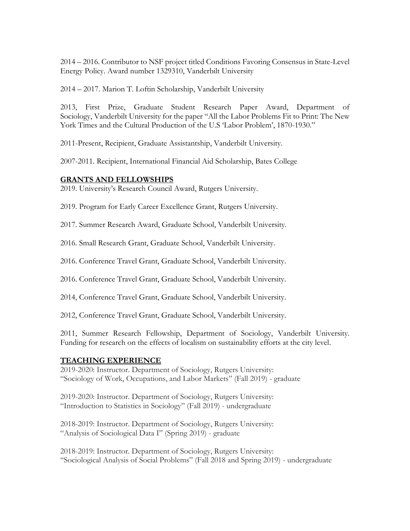2014 – 2016. Contributor to NSF project titled Conditions Favoring Consensus in State-Level Energy Policy. Award number 1329310, Vanderbilt University

2014 – 2017. Marion T. Loftin Scholarship, Vanderbilt University

2013, First Prize, Graduate Student Research Paper Award, Department of Sociology, Vanderbilt University for the paper "All the Labor Problems Fit to Print: The New York Times and the Cultural Production of the U.S 'Labor Problem', 1870-1930."

2011-Present, Recipient, Graduate Assistantship, Vanderbilt University.

2007-2011. Recipient, International Financial Aid Scholarship, Bates College

# **GRANTS AND FELLOWSHIPS**

2019. University's Research Council Award, Rutgers University.

2019. Program for Early Career Excellence Grant, Rutgers University.

2017. Summer Research Award, Graduate School, Vanderbilt University.

2016. Small Research Grant, Graduate School, Vanderbilt University.

2016. Conference Travel Grant, Graduate School, Vanderbilt University.

2016. Conference Travel Grant, Graduate School, Vanderbilt University.

2014, Conference Travel Grant, Graduate School, Vanderbilt University.

2012, Conference Travel Grant, Graduate School, Vanderbilt University.

2011, Summer Research Fellowship, Department of Sociology, Vanderbilt University. Funding for research on the effects of localism on sustainability efforts at the city level.

### **TEACHING EXPERIENCE**

2019-2020: Instructor. Department of Sociology, Rutgers University: "Sociology of Work, Occupations, and Labor Markets" (Fall 2019) - graduate

2019-2020: Instructor. Department of Sociology, Rutgers University: "Introduction to Statistics in Sociology" (Fall 2019) - undergraduate

2018-2019: Instructor. Department of Sociology, Rutgers University: "Analysis of Sociological Data I" (Spring 2019) - graduate

2018-2019: Instructor. Department of Sociology, Rutgers University: "Sociological Analysis of Social Problems" (Fall 2018 and Spring 2019) - undergraduate